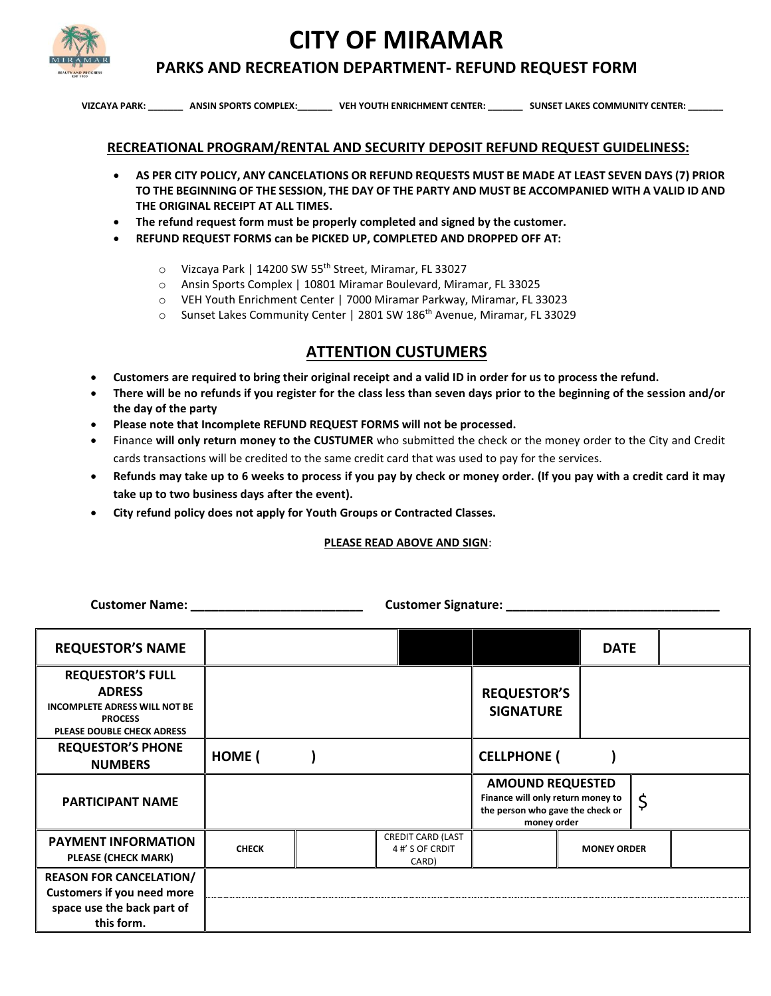**CITY OF MIRAMAR**



## **PARKS AND RECREATION DEPARTMENT- REFUND REQUEST FORM**

 **VIZCAYA PARK: \_\_\_\_\_\_\_ ANSIN SPORTS COMPLEX:\_\_\_\_\_\_\_ VEH YOUTH ENRICHMENT CENTER: \_\_\_\_\_\_\_ SUNSET LAKES COMMUNITY CENTER: \_\_\_\_\_\_\_** 

## **RECREATIONAL PROGRAM/RENTAL AND SECURITY DEPOSIT REFUND REQUEST GUIDELINESS:**

- **AS PER CITY POLICY, ANY CANCELATIONS OR REFUND REQUESTS MUST BE MADE AT LEAST SEVEN DAYS (7) PRIOR TO THE BEGINNING OF THE SESSION, THE DAY OF THE PARTY AND MUST BE ACCOMPANIED WITH A VALID ID AND THE ORIGINAL RECEIPT AT ALL TIMES.**
- **The refund request form must be properly completed and signed by the customer.**
- **REFUND REQUEST FORMS can be PICKED UP, COMPLETED AND DROPPED OFF AT:**
	- o Vizcaya Park | 14200 SW 55th Street, Miramar, FL 33027
	- o Ansin Sports Complex | 10801 Miramar Boulevard, Miramar, FL 33025
	- o VEH Youth Enrichment Center | 7000 Miramar Parkway, Miramar, FL 33023
	- $\circ$  Sunset Lakes Community Center | 2801 SW 186<sup>th</sup> Avenue, Miramar, FL 33029

## **ATTENTION CUSTUMERS**

- **Customers are required to bring their original receipt and a valid ID in order for us to process the refund.**
- **There will be no refunds if you register for the class less than seven days prior to the beginning of the session and/or the day of the party**
- **Please note that Incomplete REFUND REQUEST FORMS will not be processed.**
- Finance **will only return money to the CUSTUMER** who submitted the check or the money order to the City and Credit cards transactions will be credited to the same credit card that was used to pay for the services.
- **Refunds may take up to 6 weeks to process if you pay by check or money order. (If you pay with a credit card it may take up to two business days after the event).**
- **City refund policy does not apply for Youth Groups or Contracted Classes.**

## **PLEASE READ ABOVE AND SIGN**:

**Customer Name: \_\_\_\_\_\_\_\_\_\_\_\_\_\_\_\_\_\_\_\_\_\_\_\_\_ Customer Signature: \_\_\_\_\_\_\_\_\_\_\_\_\_\_\_\_\_\_\_\_\_\_\_\_\_\_\_\_\_\_\_**

| <b>REQUESTOR'S NAME</b>                                                                                                                 |              |                                                      |                                                                                                                 | <b>DATE</b>        |  |
|-----------------------------------------------------------------------------------------------------------------------------------------|--------------|------------------------------------------------------|-----------------------------------------------------------------------------------------------------------------|--------------------|--|
| <b>REQUESTOR'S FULL</b><br><b>ADRESS</b><br><b>INCOMPLETE ADRESS WILL NOT BE</b><br><b>PROCESS</b><br><b>PLEASE DOUBLE CHECK ADRESS</b> |              |                                                      | <b>REQUESTOR'S</b><br><b>SIGNATURE</b>                                                                          |                    |  |
| <b>REQUESTOR'S PHONE</b><br><b>NUMBERS</b>                                                                                              | <b>HOME</b>  |                                                      | <b>CELLPHONE</b> (                                                                                              |                    |  |
| <b>PARTICIPANT NAME</b>                                                                                                                 |              |                                                      | <b>AMOUND REQUESTED</b><br>Finance will only return money to<br>the person who gave the check or<br>money order | \$                 |  |
| <b>PAYMENT INFORMATION</b><br><b>PLEASE (CHECK MARK)</b>                                                                                | <b>CHECK</b> | <b>CREDIT CARD (LAST</b><br>4 #' S OF CRDIT<br>CARD) |                                                                                                                 | <b>MONEY ORDER</b> |  |
| <b>REASON FOR CANCELATION/</b><br><b>Customers if you need more</b><br>space use the back part of<br>this form.                         |              |                                                      |                                                                                                                 |                    |  |